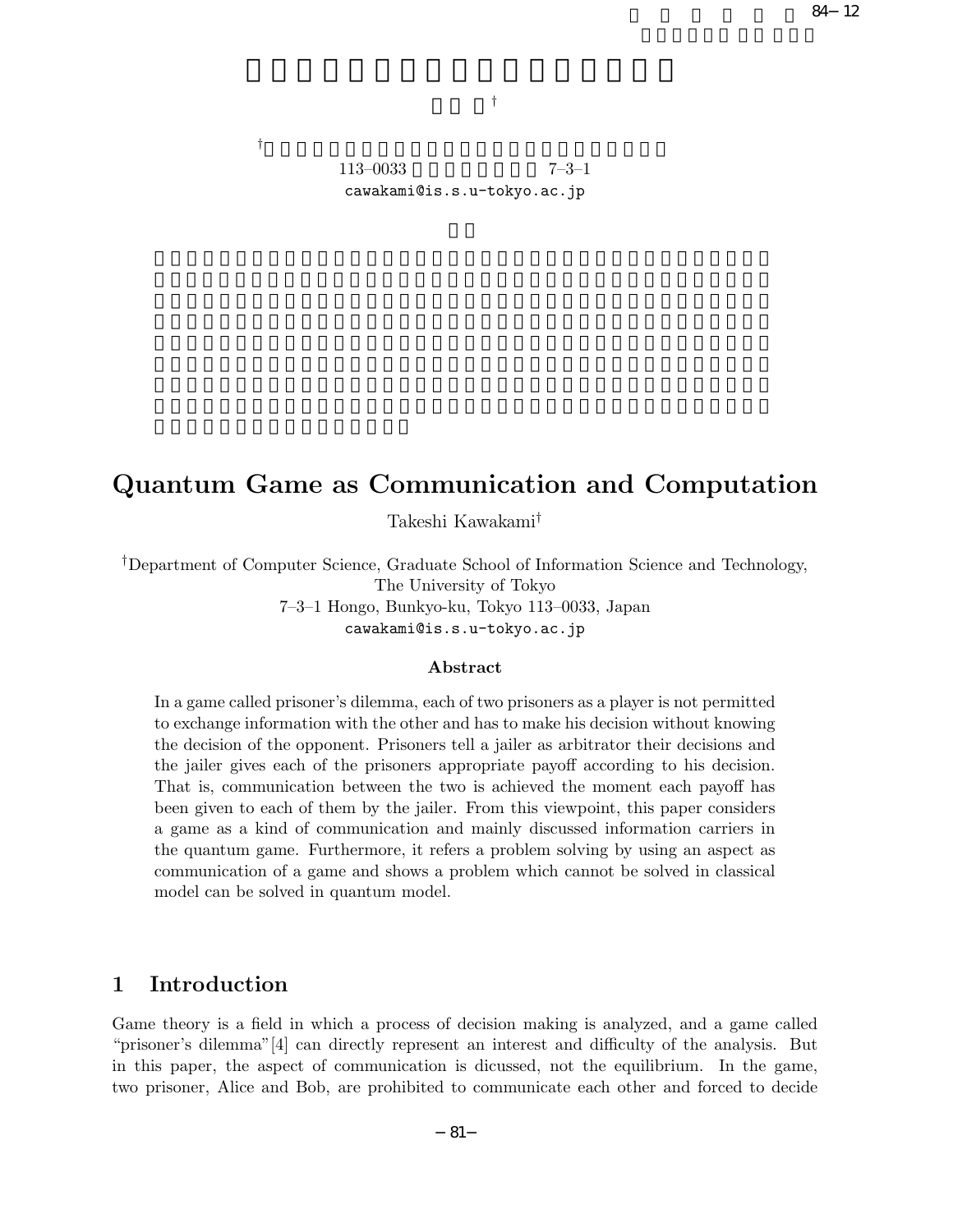$84$  12

†

 $\mathbb{F}_2$  , the contract of the contract of the contract of the contract of the contract of the contract of the contract of the contract of the contract of the contract of the contract of the contract of the contract of t  $113-0033$   $7-3-1$ cawakami@is.s.u-tokyo.ac.jp

# **Quantum Game as Communication and Computation**

Takeshi Kawakami†

†Department of Computer Science, Graduate School of Information Science and Technology, The University of Tokyo 7–3–1 Hongo, Bunkyo-ku, Tokyo 113–0033, Japan cawakami@is.s.u-tokyo.ac.jp

### **Abstract**

In a game called prisoner's dilemma, each of two prisoners as a player is not permitted to exchange information with the other and has to make his decision without knowing the decision of the opponent. Prisoners tell a jailer as arbitrator their decisions and the jailer gives each of the prisoners appropriate payoff according to his decision. That is, communication between the two is achieved the moment each payoff has been given to each of them by the jailer. From this viewpoint, this paper considers a game as a kind of communication and mainly discussed information carriers in the quantum game. Furthermore, it refers a problem solving by using an aspect as communication of a game and shows a problem which cannot be solved in classical model can be solved in quantum model.

# **1 Introduction**

Game theory is a field in which a process of decision making is analyzed, and a game called "prisoner's dilemma"[4] can directly represent an interest and difficulty of the analysis. But in this paper, the aspect of communication is dicussed, not the equilibrium. In the game, two prisoner, Alice and Bob, are prohibited to communicate each other and forced to decide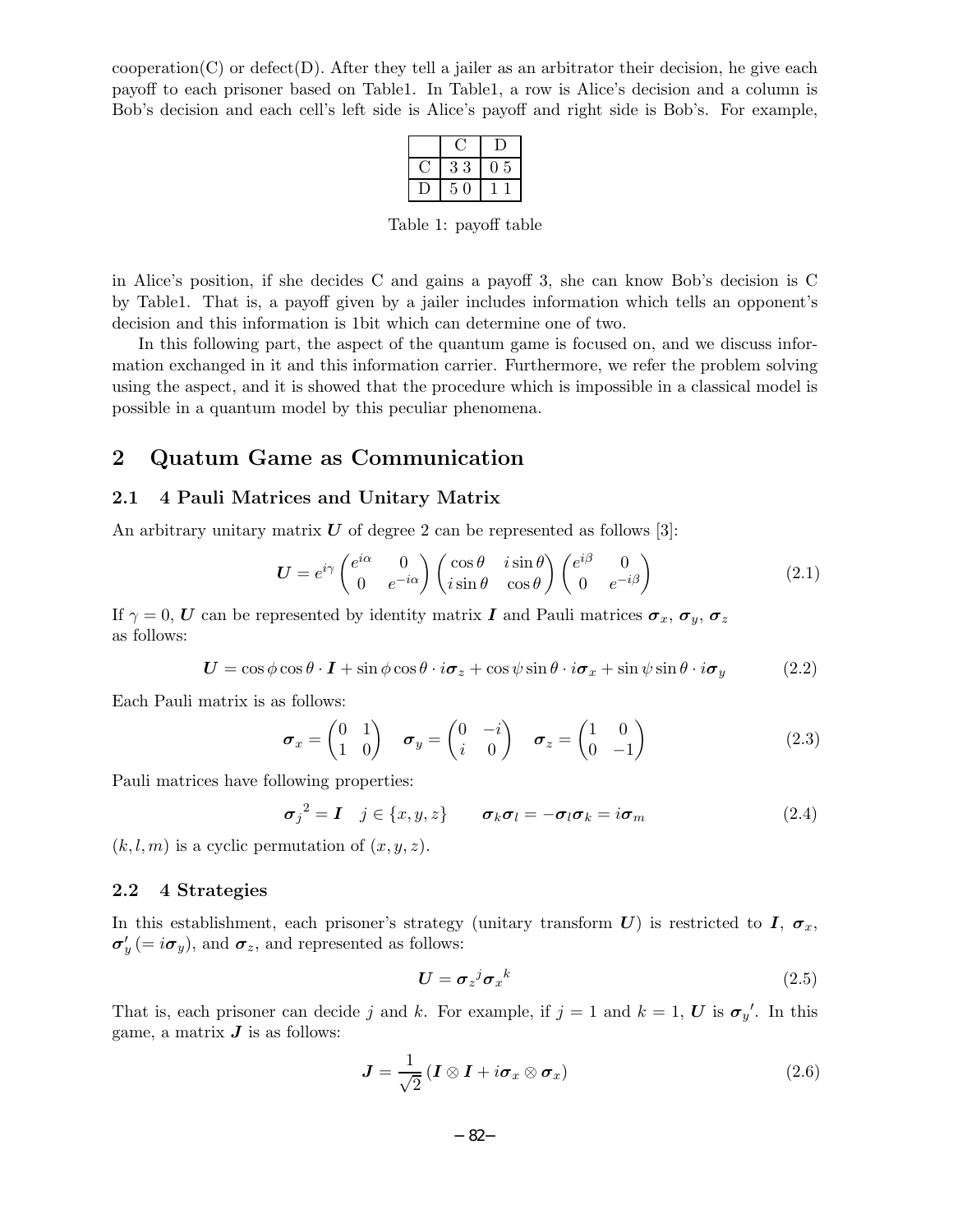$cooperation(C)$  or defect $(D)$ . After they tell a jailer as an arbitrator their decision, he give each payoff to each prisoner based on Table1. In Table1, a row is Alice's decision and a column is Bob's decision and each cell's left side is Alice's payoff and right side is Bob's. For example,

| 3<br>3 | 5 |  |
|--------|---|--|
| 5<br>0 |   |  |

Table 1: payoff table

in Alice's position, if she decides C and gains a payoff 3, she can know Bob's decision is C by Table1. That is, a payoff given by a jailer includes information which tells an opponent's decision and this information is 1bit which can determine one of two.

In this following part, the aspect of the quantum game is focused on, and we discuss information exchanged in it and this information carrier. Furthermore, we refer the problem solving using the aspect, and it is showed that the procedure which is impossible in a classical model is possible in a quantum model by this peculiar phenomena.

## **2 Quatum Game as Communication**

#### **2.1 4 Pauli Matrices and Unitary Matrix**

An arbitrary unitary matrix  $U$  of degree 2 can be represented as follows [3]:

$$
\boldsymbol{U} = e^{i\gamma} \begin{pmatrix} e^{i\alpha} & 0\\ 0 & e^{-i\alpha} \end{pmatrix} \begin{pmatrix} \cos\theta & i\sin\theta\\ i\sin\theta & \cos\theta \end{pmatrix} \begin{pmatrix} e^{i\beta} & 0\\ 0 & e^{-i\beta} \end{pmatrix}
$$
(2.1)

If  $\gamma = 0$ , *U* can be represented by identity matrix *I* and Pauli matrices  $\sigma_x$ ,  $\sigma_y$ ,  $\sigma_z$ as follows:

$$
U = \cos\phi\cos\theta \cdot I + \sin\phi\cos\theta \cdot i\sigma_z + \cos\psi\sin\theta \cdot i\sigma_x + \sin\psi\sin\theta \cdot i\sigma_y \tag{2.2}
$$

Each Pauli matrix is as follows:

$$
\boldsymbol{\sigma}_x = \begin{pmatrix} 0 & 1 \\ 1 & 0 \end{pmatrix} \quad \boldsymbol{\sigma}_y = \begin{pmatrix} 0 & -i \\ i & 0 \end{pmatrix} \quad \boldsymbol{\sigma}_z = \begin{pmatrix} 1 & 0 \\ 0 & -1 \end{pmatrix} \tag{2.3}
$$

Pauli matrices have following properties:

$$
\sigma_j^2 = \mathbf{I} \quad j \in \{x, y, z\} \qquad \sigma_k \sigma_l = -\sigma_l \sigma_k = i \sigma_m \tag{2.4}
$$

 $(k, l, m)$  is a cyclic permutation of  $(x, y, z)$ .

#### **2.2 4 Strategies**

In this establishment, each prisoner's strategy (unitary transform  $U$ ) is restricted to  $I$ ,  $\sigma_x$ ,  $\sigma'_{y}$  (=  $i\sigma_{y}$ ), and  $\sigma_{z}$ , and represented as follows:

$$
\boldsymbol{U} = \boldsymbol{\sigma}_z{}^j \boldsymbol{\sigma}_x{}^k \tag{2.5}
$$

That is, each prisoner can decide j and k. For example, if  $j = 1$  and  $k = 1$ , U is  $\sigma_{y}'$ . In this game, a matrix  $J$  is as follows:

$$
\mathbf{J} = \frac{1}{\sqrt{2}} \left( \mathbf{I} \otimes \mathbf{I} + i \boldsymbol{\sigma}_x \otimes \boldsymbol{\sigma}_x \right) \tag{2.6}
$$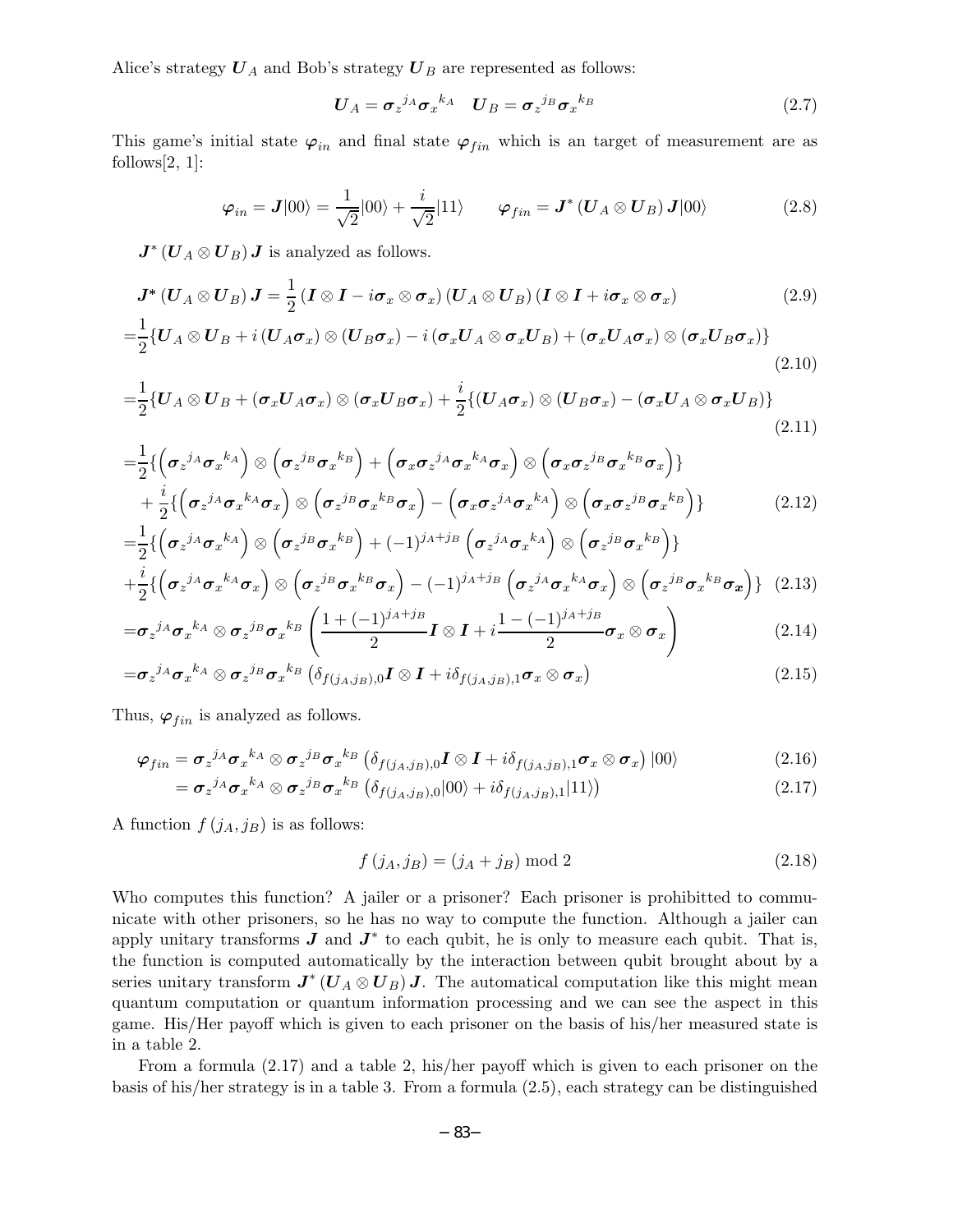Alice's strategy  $U_A$  and Bob's strategy  $U_B$  are represented as follows:

$$
\boldsymbol{U}_A = \boldsymbol{\sigma}_z{}^{j_A} \boldsymbol{\sigma}_x{}^{k_A} \quad \boldsymbol{U}_B = \boldsymbol{\sigma}_z{}^{j_B} \boldsymbol{\sigma}_x{}^{k_B} \tag{2.7}
$$

This game's initial state  $\varphi_{in}$  and final state  $\varphi_{fin}$  which is an target of measurement are as follows  $[2, 1]$ :

$$
\varphi_{in} = \mathbf{J}|00\rangle = \frac{1}{\sqrt{2}}|00\rangle + \frac{i}{\sqrt{2}}|11\rangle \qquad \varphi_{fin} = \mathbf{J}^* \left( \mathbf{U}_A \otimes \mathbf{U}_B \right) \mathbf{J}|00\rangle \tag{2.8}
$$

 $J^*(U_A \otimes U_B)$  *J* is analyzed as follows.

$$
\boldsymbol{J}^*\left(\boldsymbol{U}_A\otimes\boldsymbol{U}_B\right)\boldsymbol{J}=\frac{1}{2}\left(\boldsymbol{I}\otimes\boldsymbol{I}-i\boldsymbol{\sigma}_x\otimes\boldsymbol{\sigma}_x\right)\left(\boldsymbol{U}_A\otimes\boldsymbol{U}_B\right)\left(\boldsymbol{I}\otimes\boldsymbol{I}+i\boldsymbol{\sigma}_x\otimes\boldsymbol{\sigma}_x\right) \tag{2.9}
$$

$$
=\frac{1}{2}\left\{U_{A}\otimes U_{B}+i\left(U_{A}\sigma_{x}\right)\otimes\left(U_{B}\sigma_{x}\right)-i\left(\sigma_{x}U_{A}\otimes\sigma_{x}U_{B}\right)+\left(\sigma_{x}U_{A}\sigma_{x}\right)\otimes\left(\sigma_{x}U_{B}\sigma_{x}\right)\right\}
$$
\n(2.10)

$$
=\frac{1}{2}\left\{U_{A}\otimes U_{B}+(\boldsymbol{\sigma}_{x}U_{A}\boldsymbol{\sigma}_{x})\otimes(\boldsymbol{\sigma}_{x}U_{B}\boldsymbol{\sigma}_{x})+\frac{i}{2}\left\{\left(U_{A}\boldsymbol{\sigma}_{x}\right)\otimes\left(U_{B}\boldsymbol{\sigma}_{x}\right)-(\boldsymbol{\sigma}_{x}U_{A}\otimes\boldsymbol{\sigma}_{x}U_{B})\right\}\right\}
$$
\n(2.11)

$$
=\frac{1}{2}\left\{\left(\sigma_{z}j_{A}\sigma_{x}{}^{k_{A}}\right)\otimes\left(\sigma_{z}j_{B}\sigma_{x}{}^{k_{B}}\right)+\left(\sigma_{x}\sigma_{z}j_{A}\sigma_{x}{}^{k_{A}}\sigma_{x}\right)\otimes\left(\sigma_{x}\sigma_{z}j_{B}\sigma_{x}{}^{k_{B}}\sigma_{x}\right)\right\}+\frac{i}{2}\left\{\left(\sigma_{z}j_{A}\sigma_{x}{}^{k_{A}}\sigma_{x}\right)\otimes\left(\sigma_{z}j_{B}\sigma_{x}{}^{k_{B}}\sigma_{x}\right)-\left(\sigma_{x}\sigma_{z}j_{A}\sigma_{x}{}^{k_{A}}\right)\otimes\left(\sigma_{x}\sigma_{z}j_{B}\sigma_{x}{}^{k_{B}}\right)\right\}=\frac{1}{2}\left\{\left(\sigma_{z}j_{A}\sigma_{x}{}^{k_{A}}\right)\otimes\left(\sigma_{z}j_{B}\sigma_{x}{}^{k_{B}}\right)+(-1)^{j_{A}+j_{B}}\left(\sigma_{z}j_{A}\sigma_{x}{}^{k_{A}}\right)\otimes\left(\sigma_{z}j_{B}\sigma_{x}{}^{k_{B}}\right)\right\}
$$
(2.12)

$$
2\left(\sigma_z^{j_A}\sigma_x^{k_A}\sigma_x\right) \otimes \left(\sigma_z^{j_B}\sigma_x^{k_B}\sigma_x\right) - (-1)^{j_A+j_B}\left(\sigma_z^{j_A}\sigma_x^{k_A}\sigma_x\right) \otimes \left(\sigma_z^{j_B}\sigma_x^{k_B}\sigma_x\right)\right)
$$
(2.13)

$$
=\sigma_z^{j_A}\sigma_x^{k_A}\otimes\sigma_z^{j_B}\sigma_x^{k_B}\left(\frac{1+(-1)^{j_A+j_B}}{2}\boldsymbol{I}\otimes\boldsymbol{I}+i\frac{1-(-1)^{j_A+j_B}}{2}\sigma_x\otimes\sigma_x\right) \tag{2.14}
$$

$$
=\sigma_{z}{}^{j_{A}}\sigma_{x}{}^{k_{A}}\otimes \sigma_{z}{}^{j_{B}}\sigma_{x}{}^{k_{B}}\left(\delta_{f(j_{A},j_{B}),0}\boldsymbol{I}\otimes\boldsymbol{I}+i\delta_{f(j_{A},j_{B}),1}\sigma_{x}\otimes\sigma_{x}\right) \tag{2.15}
$$

Thus,  $\varphi_{fin}$  is analyzed as follows.

$$
\varphi_{fin} = \sigma_z{}^{j_A} \sigma_x{}^{k_A} \otimes \sigma_z{}^{j_B} \sigma_x{}^{k_B} \left( \delta_{f(j_A,j_B),0} I \otimes I + i \delta_{f(j_A,j_B),1} \sigma_x \otimes \sigma_x \right) |00\rangle \tag{2.16}
$$

$$
= \sigma_z{}^{j_A} \sigma_x{}^{k_A} \otimes \sigma_z{}^{j_B} \sigma_x{}^{k_B} \left( \delta_{f(j_A,j_B),0} |00\rangle + i \delta_{f(j_A,j_B),1} |11\rangle \right) \tag{2.17}
$$

A function  $f(j_A, j_B)$  is as follows:

$$
f(j_A, j_B) = (j_A + j_B) \bmod 2
$$
 (2.18)

Who computes this function? A jailer or a prisoner? Each prisoner is prohibitted to communicate with other prisoners, so he has no way to compute the function. Although a jailer can apply unitary transforms  $J$  and  $J^*$  to each qubit, he is only to measure each qubit. That is, the function is computed automatically by the interaction between qubit brought about by a series unitary transform  $J^*(U_A \otimes U_B) J$ . The automatical computation like this might mean quantum computation or quantum information processing and we can see the aspect in this game. His/Her payoff which is given to each prisoner on the basis of his/her measured state is in a table 2.

From a formula (2.17) and a table 2, his/her payoff which is given to each prisoner on the basis of his/her strategy is in a table 3. From a formula (2.5), each strategy can be distinguished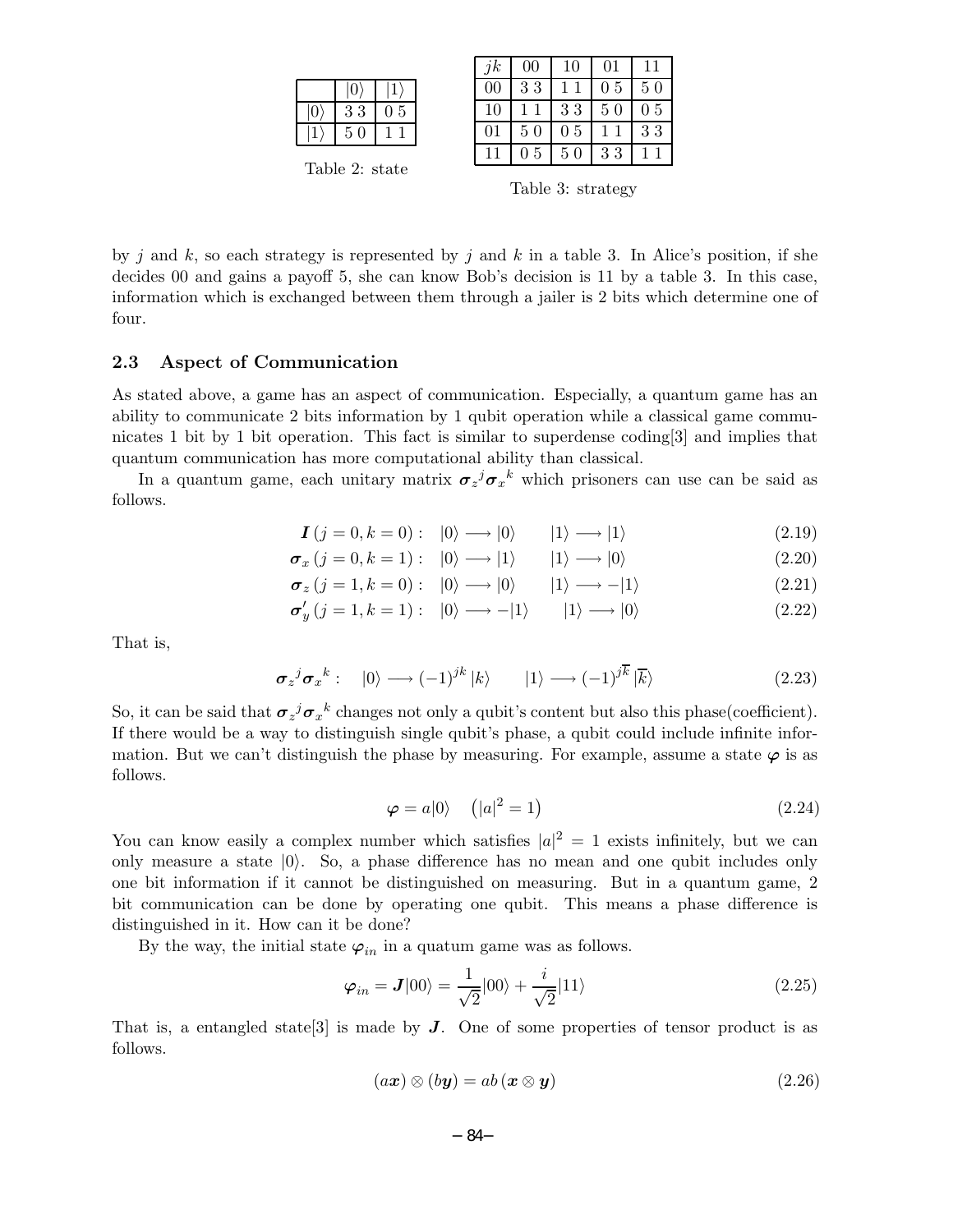| $\Omega$ | -3<br>3 | 5<br>0. |
|----------|---------|---------|
|          | 5<br>n  |         |
|          |         |         |

Table 2: state

| ik | $\overline{00}$ | 10 | 01             | 11 |
|----|-----------------|----|----------------|----|
| 00 | 33              |    | 0 <sub>5</sub> | 50 |
| 10 | 1<br>1          | 33 | 50             | 05 |
| 01 | 50              | 05 | 1              | 33 |
|    | 0.5             | 50 | 33             |    |

Table 3: strategy

by j and k, so each strategy is represented by j and k in a table 3. In Alice's position, if she decides 00 and gains a payoff 5, she can know Bob's decision is 11 by a table 3. In this case, information which is exchanged between them through a jailer is 2 bits which determine one of four.

### **2.3 Aspect of Communication**

As stated above, a game has an aspect of communication. Especially, a quantum game has an ability to communicate 2 bits information by 1 qubit operation while a classical game communicates 1 bit by 1 bit operation. This fact is similar to superdense coding[3] and implies that quantum communication has more computational ability than classical.

In a quantum game, each unitary matrix  $\sigma_z^j \sigma_x^k$  which prisoners can use can be said as follows.

$$
\mathbf{I}\left(j=0,k=0\right): \quad |0\rangle \longrightarrow |0\rangle \qquad |1\rangle \longrightarrow |1\rangle \tag{2.19}
$$

$$
\sigma_x (j = 0, k = 1): |0\rangle \longrightarrow |1\rangle |1\rangle \longrightarrow |0\rangle
$$
 (2.20)

$$
\sigma_z (j = 1, k = 0): |0\rangle \longrightarrow |0\rangle |1\rangle \longrightarrow -|1\rangle
$$
 (2.21)

$$
\sigma_y'(j=1, k=1): |0\rangle \longrightarrow -|1\rangle |1\rangle \longrightarrow |0\rangle
$$
 (2.22)

That is,

$$
\sigma_z^j \sigma_x^k: \quad |0\rangle \longrightarrow (-1)^{jk} |k\rangle \qquad |1\rangle \longrightarrow (-1)^{j\overline{k}} |\overline{k}\rangle \tag{2.23}
$$

So, it can be said that  $\sigma_z^j \sigma_x^k$  changes not only a qubit's content but also this phase(coefficient). If there would be a way to distinguish single qubit's phase, a qubit could include infinite information. But we can't distinguish the phase by measuring. For example, assume a state  $\varphi$  is as follows.

$$
\varphi = a|0\rangle \quad (|a|^2 = 1) \tag{2.24}
$$

You can know easily a complex number which satisfies  $|a|^2 = 1$  exists infinitely, but we can only measure a state  $|0\rangle$ . So, a phase difference has no mean and one qubit includes only one bit information if it cannot be distinguished on measuring. But in a quantum game, 2 bit communication can be done by operating one qubit. This means a phase difference is distinguished in it. How can it be done?

By the way, the initial state  $\varphi_{in}$  in a quatum game was as follows.

$$
\varphi_{in} = \mathbf{J}|00\rangle = \frac{1}{\sqrt{2}}|00\rangle + \frac{i}{\sqrt{2}}|11\rangle
$$
\n(2.25)

That is, a entangled state[3] is made by *J*. One of some properties of tensor product is as follows.

$$
(ax) \otimes (b\mathbf{y}) = ab\left(\mathbf{x} \otimes \mathbf{y}\right) \tag{2.26}
$$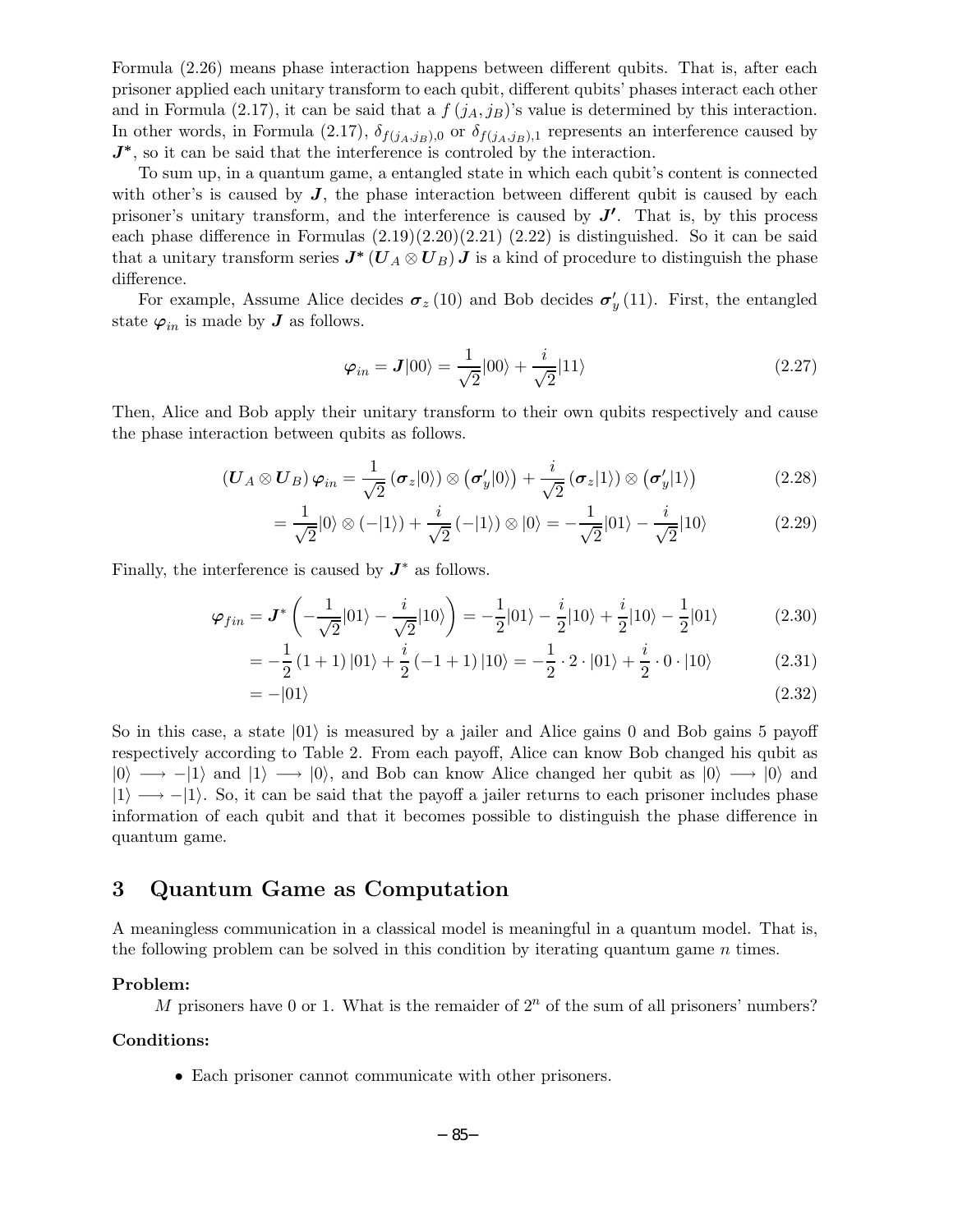Formula (2.26) means phase interaction happens between different qubits. That is, after each prisoner applied each unitary transform to each qubit, different qubits' phases interact each other and in Formula (2.17), it can be said that a  $f(j_A, j_B)$ 's value is determined by this interaction. In other words, in Formula (2.17),  $\delta_{f(j_A,j_B),0}$  or  $\delta_{f(j_A,j_B),1}$  represents an interference caused by  $J^*$ , so it can be said that the interference is controled by the interaction.

To sum up, in a quantum game, a entangled state in which each qubit's content is connected with other's is caused by  $J$ , the phase interaction between different qubit is caused by each prisoner's unitary transform, and the interference is caused by  $J'$ . That is, by this process each phase difference in Formulas  $(2.19)(2.20)(2.21)(2.22)$  is distinguished. So it can be said that a unitary transform series  $J^*(U_A \otimes U_B) J$  is a kind of procedure to distinguish the phase difference.

For example, Assume Alice decides  $\sigma_z(10)$  and Bob decides  $\sigma'_y(11)$ . First, the entangled state  $\varphi_{in}$  is made by *J* as follows.

$$
\varphi_{in} = J|00\rangle = \frac{1}{\sqrt{2}}|00\rangle + \frac{i}{\sqrt{2}}|11\rangle
$$
\n(2.27)

Then, Alice and Bob apply their unitary transform to their own qubits respectively and cause the phase interaction between qubits as follows.

$$
(\boldsymbol{U}_{A} \otimes \boldsymbol{U}_{B}) \boldsymbol{\varphi}_{in} = \frac{1}{\sqrt{2}} (\boldsymbol{\sigma}_{z}|0\rangle) \otimes (\boldsymbol{\sigma}_{y}'|0\rangle) + \frac{i}{\sqrt{2}} (\boldsymbol{\sigma}_{z}|1\rangle) \otimes (\boldsymbol{\sigma}_{y}'|1\rangle)
$$
(2.28)

$$
=\frac{1}{\sqrt{2}}|0\rangle \otimes (-|1\rangle) + \frac{i}{\sqrt{2}}(-|1\rangle) \otimes |0\rangle = -\frac{1}{\sqrt{2}}|01\rangle - \frac{i}{\sqrt{2}}|10\rangle \tag{2.29}
$$

Finally, the interference is caused by  $J^*$  as follows.

$$
\varphi_{fin} = \mathbf{J}^* \left( -\frac{1}{\sqrt{2}} |01\rangle - \frac{i}{\sqrt{2}} |10\rangle \right) = -\frac{1}{2} |01\rangle - \frac{i}{2} |10\rangle + \frac{i}{2} |10\rangle - \frac{1}{2} |01\rangle \tag{2.30}
$$

$$
= -\frac{1}{2} (1+1) |01\rangle + \frac{i}{2} (-1+1) |10\rangle = -\frac{1}{2} \cdot 2 \cdot |01\rangle + \frac{i}{2} \cdot 0 \cdot |10\rangle \tag{2.31}
$$

$$
=-|01\rangle \tag{2.32}
$$

So in this case, a state  $|01\rangle$  is measured by a jailer and Alice gains 0 and Bob gains 5 payoff respectively according to Table 2. From each payoff, Alice can know Bob changed his qubit as  $|0\rangle \longrightarrow -|1\rangle$  and  $|1\rangle \longrightarrow |0\rangle$ , and Bob can know Alice changed her qubit as  $|0\rangle \longrightarrow |0\rangle$  and  $|1\rangle \longrightarrow -|1\rangle$ . So, it can be said that the payoff a jailer returns to each prisoner includes phase information of each qubit and that it becomes possible to distinguish the phase difference in quantum game.

# **3 Quantum Game as Computation**

A meaningless communication in a classical model is meaningful in a quantum model. That is, the following problem can be solved in this condition by iterating quantum game  $n$  times.

#### **Problem:**

M prisoners have 0 or 1. What is the remaider of  $2<sup>n</sup>$  of the sum of all prisoners' numbers?

#### **Conditions:**

• Each prisoner cannot communicate with other prisoners.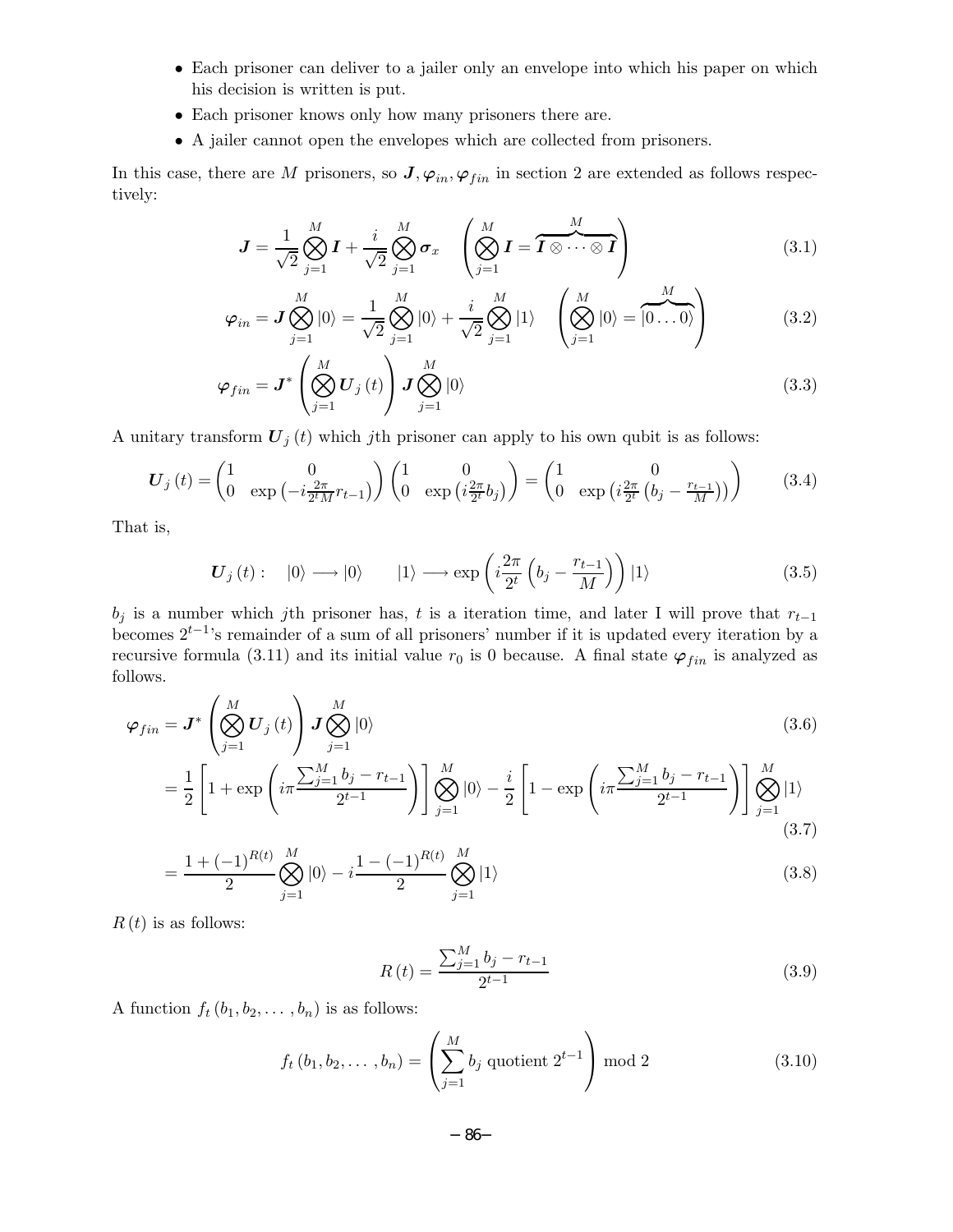- Each prisoner can deliver to a jailer only an envelope into which his paper on which his decision is written is put.
- Each prisoner knows only how many prisoners there are.
- A jailer cannot open the envelopes which are collected from prisoners.

In this case, there are M prisoners, so  $J, \varphi_{in}, \varphi_{fin}$  in section 2 are extended as follows respectively:

$$
\boldsymbol{J} = \frac{1}{\sqrt{2}} \bigotimes_{j=1}^{M} \boldsymbol{I} + \frac{i}{\sqrt{2}} \bigotimes_{j=1}^{M} \boldsymbol{\sigma}_{x} \quad \left( \bigotimes_{j=1}^{M} \boldsymbol{I} = \boldsymbol{\overbrace{I \otimes \cdots \otimes I}}^{M} \right) \tag{3.1}
$$

$$
\varphi_{in} = \mathbf{J} \bigotimes_{j=1}^{M} |0\rangle = \frac{1}{\sqrt{2}} \bigotimes_{j=1}^{M} |0\rangle + \frac{i}{\sqrt{2}} \bigotimes_{j=1}^{M} |1\rangle \quad \left(\bigotimes_{j=1}^{M} |0\rangle = \overbrace{|0...0\rangle}^{M}\right)
$$
(3.2)

$$
\varphi_{fin} = \mathbf{J}^* \left( \bigotimes_{j=1}^M \mathbf{U}_j(t) \right) \mathbf{J} \bigotimes_{j=1}^M |0\rangle \tag{3.3}
$$

A unitary transform  $U_j(t)$  which jth prisoner can apply to his own qubit is as follows:

$$
\boldsymbol{U}_{j}\left(t\right) = \begin{pmatrix} 1 & 0\\ 0 & \exp\left(-i\frac{2\pi}{2^{t}M}r_{t-1}\right) \end{pmatrix} \begin{pmatrix} 1 & 0\\ 0 & \exp\left(i\frac{2\pi}{2^{t}}b_{j}\right) \end{pmatrix} = \begin{pmatrix} 1 & 0\\ 0 & \exp\left(i\frac{2\pi}{2^{t}}\left(b_{j} - \frac{r_{t-1}}{M}\right)\right) \end{pmatrix} \tag{3.4}
$$

That is,

$$
\boldsymbol{U}_{j}\left(t\right): \quad\left|0\right\rangle \longrightarrow\left|0\right\rangle \qquad\left|1\right\rangle \longrightarrow\exp\left(i\frac{2\pi}{2^{t}}\left(b_{j}-\frac{r_{t-1}}{M}\right)\right)\left|1\right\rangle \tag{3.5}
$$

 $b_j$  is a number which jth prisoner has, t is a iteration time, and later I will prove that  $r_{t-1}$ becomes  $2^{t-1}$ 's remainder of a sum of all prisoners' number if it is updated every iteration by a recursive formula (3.11) and its initial value  $r_0$  is 0 because. A final state  $\varphi_{fin}$  is analyzed as follows.

$$
\varphi_{fin} = \mathbf{J}^* \left( \bigotimes_{j=1}^M \mathbf{U}_j(t) \right) \mathbf{J} \bigotimes_{j=1}^M |0\rangle
$$
\n
$$
= \frac{1}{2} \left[ 1 + \exp \left( i \pi \frac{\sum_{j=1}^M b_j - r_{t-1}}{2^{t-1}} \right) \right] \bigotimes_{j=1}^M |0\rangle - \frac{i}{2} \left[ 1 - \exp \left( i \pi \frac{\sum_{j=1}^M b_j - r_{t-1}}{2^{t-1}} \right) \right] \bigotimes_{j=1}^M |1\rangle
$$
\n(3.6)

$$
\begin{aligned}\n &\mathsf{L} \quad \mathsf{L} \quad \mathsf{L} \quad \mathsf{L} \quad \mathsf{L} \quad \mathsf{L} \quad \mathsf{L} \quad \mathsf{L} \quad \mathsf{L} \quad \mathsf{L} \quad \mathsf{L} \quad \mathsf{L} \quad \mathsf{L} \quad \mathsf{L} \quad \mathsf{L} \quad \mathsf{L} \quad \mathsf{L} \quad \mathsf{L} \quad \mathsf{L} \quad \mathsf{L} \quad \mathsf{L} \quad \mathsf{L} \quad \mathsf{L} \quad \mathsf{L} \quad \mathsf{L} \quad \mathsf{L} \quad \mathsf{L} \quad \mathsf{L} \quad \mathsf{L} \quad \mathsf{L} \quad \mathsf{L} \quad \mathsf{L} \quad \mathsf{L} \quad \mathsf{L} \quad \mathsf{L} \quad \mathsf{L} \quad \mathsf{L} \quad \mathsf{L} \quad \mathsf{L} \quad \mathsf{L} \quad \mathsf{L} \quad \mathsf{L} \quad \mathsf{L} \quad \mathsf{L} \quad \mathsf{L} \quad \mathsf{L} \quad \mathsf{L} \quad \mathsf{L} \quad \mathsf{L} \quad \mathsf{L} \quad \mathsf{L} \quad \mathsf{L} \quad \mathsf{L} \quad \mathsf{L} \quad \mathsf{L} \quad \mathsf{L} \quad \mathsf{L} \quad \mathsf{L} \quad \mathsf{L} \quad \mathsf{L} \quad \mathsf{L} \quad \mathsf{L} \quad \mathsf{L} \quad \mathsf{L} \quad \mathsf{L} \quad \mathsf{L} \quad \mathsf{L} \quad \mathsf{L} \quad \mathsf{L} \quad \mathsf{L} \quad \mathsf{L} \quad \mathsf{L} \quad \mathsf{L} \quad \mathsf{L} \quad \mathsf{L} \quad \mathsf{L} \quad \mathsf{L} \quad \mathsf{L} \quad \mathsf{L} \quad \mathsf{L} \quad \mathsf{L} \quad \mathsf{L} \quad \mathsf{L} \quad \mathsf{L} \quad \mathsf{L} \quad \mathsf{L} \quad \mathsf{L} \quad \mathsf{L} \quad \mathsf{L} \quad \mathsf{L} \quad \mathsf{L} \quad \mathsf{L} \quad \mathsf{L} \quad \mathsf{L} \quad
$$

$$
=\frac{1+(\frac{1}{2})^2}{2}\bigotimes_{j=1}^{\infty}|0\rangle-i\frac{1+(\frac{1}{2})^2}{2}\bigotimes_{j=1}^{\infty}|1\rangle
$$

 $R(t)$  is as follows:

$$
R(t) = \frac{\sum_{j=1}^{M} b_j - r_{t-1}}{2^{t-1}}
$$
\n(3.9)

A function  $f_t(b_1, b_2, \ldots, b_n)$  is as follows:

$$
f_t(b_1, b_2, \dots, b_n) = \left(\sum_{j=1}^M b_j \text{ quotient } 2^{t-1}\right) \mod 2 \tag{3.10}
$$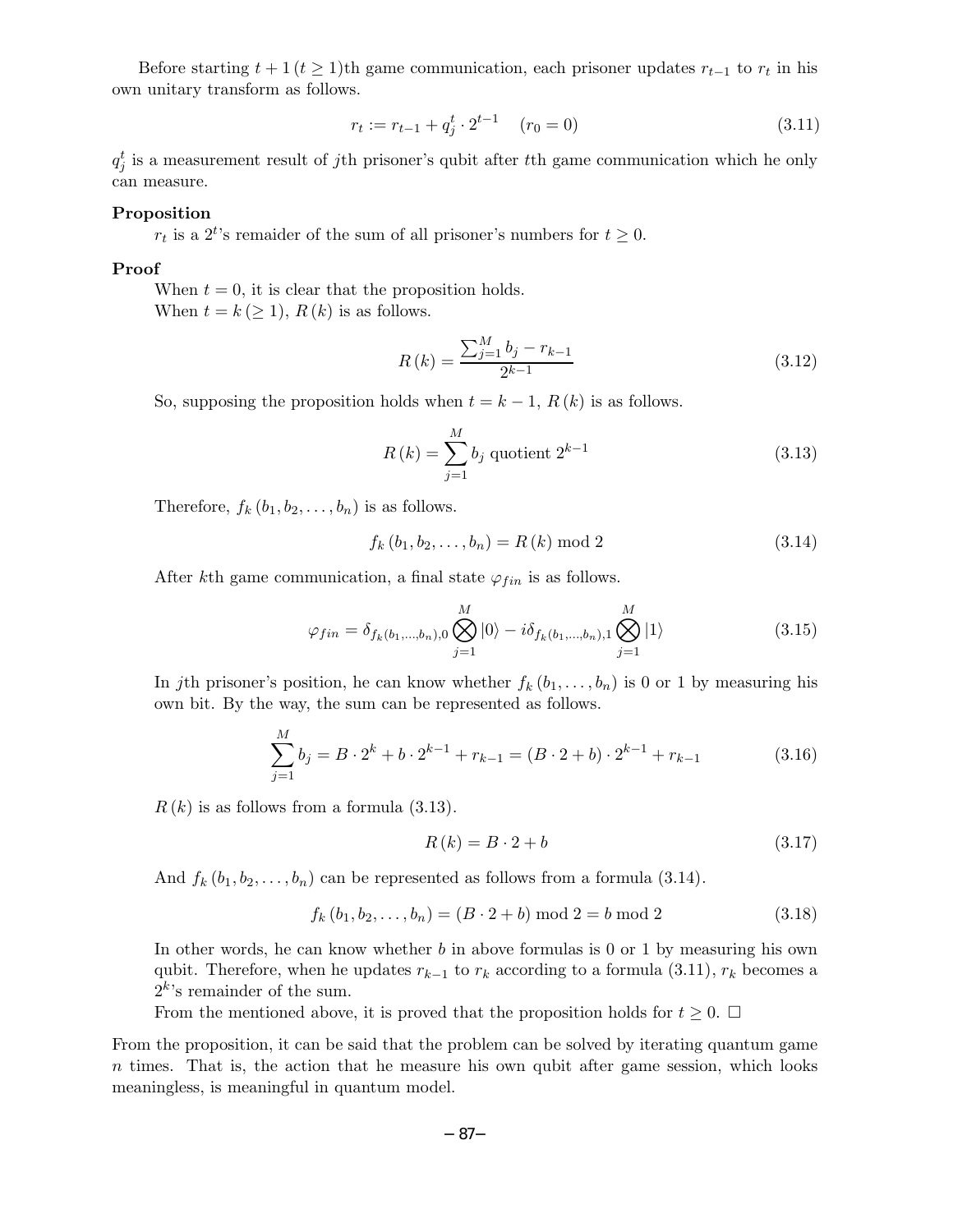Before starting  $t + 1$ ( $t \ge 1$ )th game communication, each prisoner updates  $r_{t-1}$  to  $r_t$  in his own unitary transform as follows.

$$
r_t := r_{t-1} + q_j^t \cdot 2^{t-1} \quad (r_0 = 0)
$$
\n
$$
(3.11)
$$

 $q_j^t$  is a measurement result of j<sup>th</sup> prisoner's qubit after the game communication which he only can measure.

### **Proposition**

 $r_t$  is a 2<sup>t</sup>'s remaider of the sum of all prisoner's numbers for  $t \geq 0$ .

#### **Proof**

When  $t = 0$ , it is clear that the proposition holds. When  $t = k \ (\geq 1)$ ,  $R(k)$  is as follows.

$$
R(k) = \frac{\sum_{j=1}^{M} b_j - r_{k-1}}{2^{k-1}}
$$
\n(3.12)

So, supposing the proposition holds when  $t = k - 1$ ,  $R(k)$  is as follows.

$$
R(k) = \sum_{j=1}^{M} b_j \text{ quotient } 2^{k-1}
$$
 (3.13)

Therefore,  $f_k(b_1, b_2, \ldots, b_n)$  is as follows.

$$
f_k(b_1, b_2, \dots, b_n) = R(k) \bmod 2
$$
\n(3.14)

After kth game communication, a final state  $\varphi_{fin}$  is as follows.

$$
\varphi_{fin} = \delta_{f_k(b_1,\dots,b_n),0} \bigotimes_{j=1}^{M} |0\rangle - i\delta_{f_k(b_1,\dots,b_n),1} \bigotimes_{j=1}^{M} |1\rangle
$$
\n(3.15)

In jth prisoner's position, he can know whether  $f_k(b_1,\ldots,b_n)$  is 0 or 1 by measuring his own bit. By the way, the sum can be represented as follows.

$$
\sum_{j=1}^{M} b_j = B \cdot 2^k + b \cdot 2^{k-1} + r_{k-1} = (B \cdot 2 + b) \cdot 2^{k-1} + r_{k-1}
$$
 (3.16)

 $R(k)$  is as follows from a formula  $(3.13)$ .

$$
R(k) = B \cdot 2 + b \tag{3.17}
$$

And  $f_k(b_1, b_2, \ldots, b_n)$  can be represented as follows from a formula (3.14).

$$
f_k(b_1, b_2, \dots, b_n) = (B \cdot 2 + b) \bmod 2 = b \bmod 2 \tag{3.18}
$$

In other words, he can know whether  $b$  in above formulas is 0 or 1 by measuring his own qubit. Therefore, when he updates  $r_{k-1}$  to  $r_k$  according to a formula (3.11),  $r_k$  becomes a  $2^k$ 's remainder of the sum.

From the mentioned above, it is proved that the proposition holds for  $t \geq 0$ .  $\Box$ 

From the proposition, it can be said that the problem can be solved by iterating quantum game n times. That is, the action that he measure his own qubit after game session, which looks meaningless, is meaningful in quantum model.